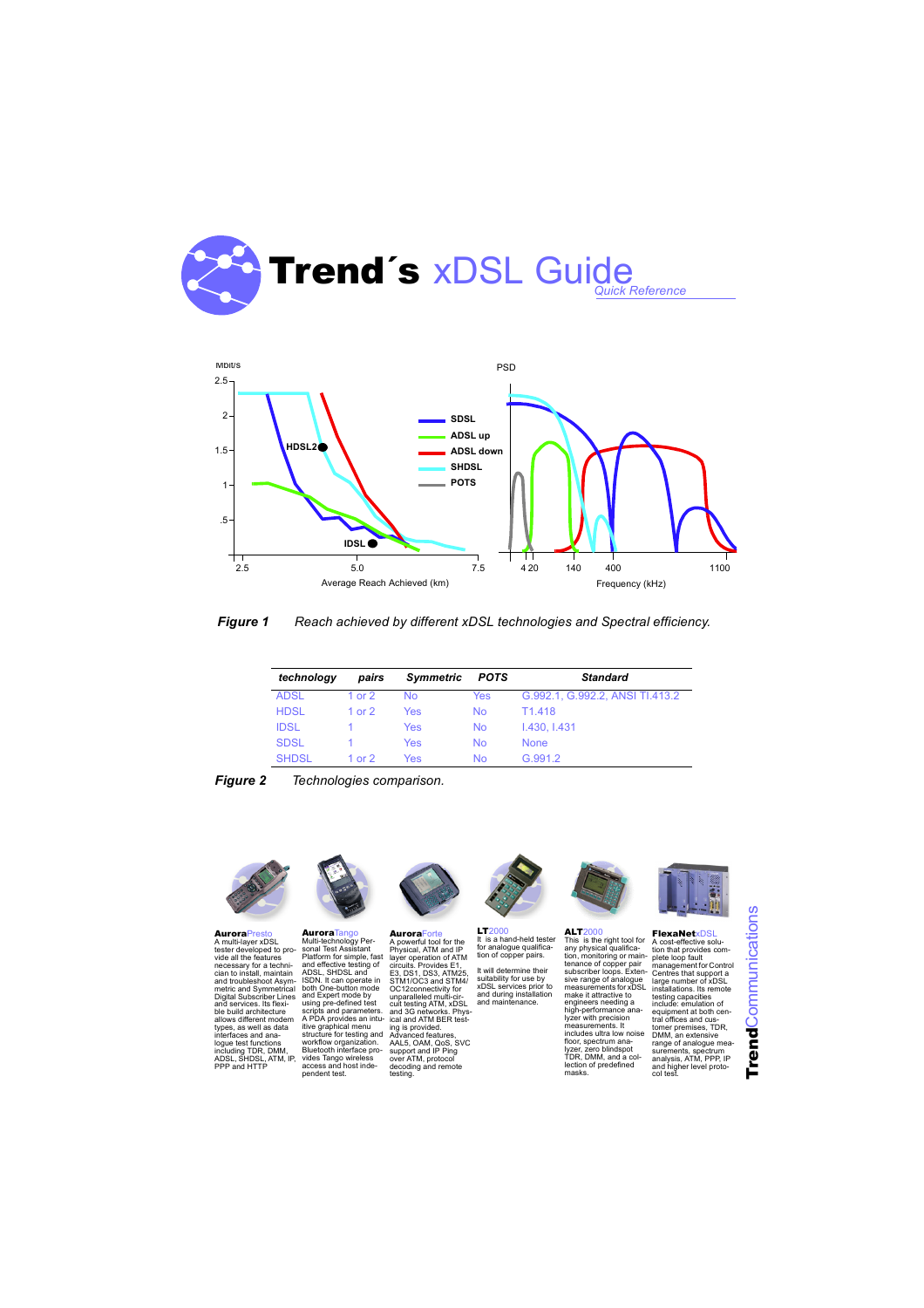

## *Figure 1 Reach achieved by different xDSL technologies and Spectral efficiency.*

| technoloav   | pairs    | Symmetric | <b>POTS</b> | <b>Standard</b>                 |
|--------------|----------|-----------|-------------|---------------------------------|
| <b>ADSL</b>  | 1 or $2$ | <b>No</b> | Yes         | G.992.1, G.992.2, ANSI TI.413.2 |
| <b>HDSL</b>  | 1 or $2$ | Yes       | <b>No</b>   | T1 418                          |
| <b>IDSL</b>  |          | Yes       | <b>No</b>   | 1.430, 1.431                    |
| <b>SDSL</b>  |          | Yes       | <b>No</b>   | <b>None</b>                     |
| <b>SHDSL</b> | 1 or $2$ | Yes       | <b>No</b>   | G 991 2                         |





**AuroraPrest** A multi-layer xDSL tester developed to provide all the features necessary for a techni-cian to install, maintain and troubleshoot Asym-metric and Symmetrical Digital Subscriber Lines and services. Its flexible build architecture allows different modem types, as well as data interfaces and analogue test functions including TDR, DMM,<br>ADSL, SHDSL, ATM, IP, PPP and HTTP



Aurora<sup>Tango</sup> Multi-technology Per-sonal Test Assistant Platform for simple, fast and effective testing of ADSL, SHDSL and ISDN. It can operate in both One-button mode and Expert mode by und Expert mode by<br>using pre-defined test scripts and parameters. A PDA provides an intuitive graphical menu structure for testing and workflow organization. Bluetooth interface provides Tango wireless access and host independent test.



AuroraForte A powerful tool for the Physical, ATM and IP layer operation of ATM circuits. Provides E1, E3, DS1, DS3, ATM25, STM1/OC3 and STM4/ OC12connectivity for unparalleled multi-circuit testing ATM, xDSL and 3G networks. Phys-ical and ATM BER testing is provided. Advanced features, AAL5, OAM, QoS, SVC support and IP Ping over ATM, protocol decoding and remote testing.



**LT2000** It is a hand-held tester for analogue qualifica-tion of copper pairs.

It will determine their suitability for use by xDSL services prior to and during installation and maintenance.



 $ALT2000$ This is the right tool for any physical qualifica-tion, monitoring or maintenance of copper pair subscriber loops. Exten-sive range of analogue measurements for xDSL make it attractive to engineers needing a high-performance analyzer with precision measurements. It includes ultra low noise floor, spectrum ana-lyzer, zero blindspot TDR, DMM, and a collection of predefined masks.



FlexaNetxDSL A cost-effective solution that provides complete loop fault management for Control Centres that support a large number of xDSL installations. Its remote testing capacities include: emulation of equipment at both central offices and cus-tomer premises, TDR, DMM, an extensive range of analogue measurements, spectrum analysis, ATM, PPP, IP and higher level protocol test.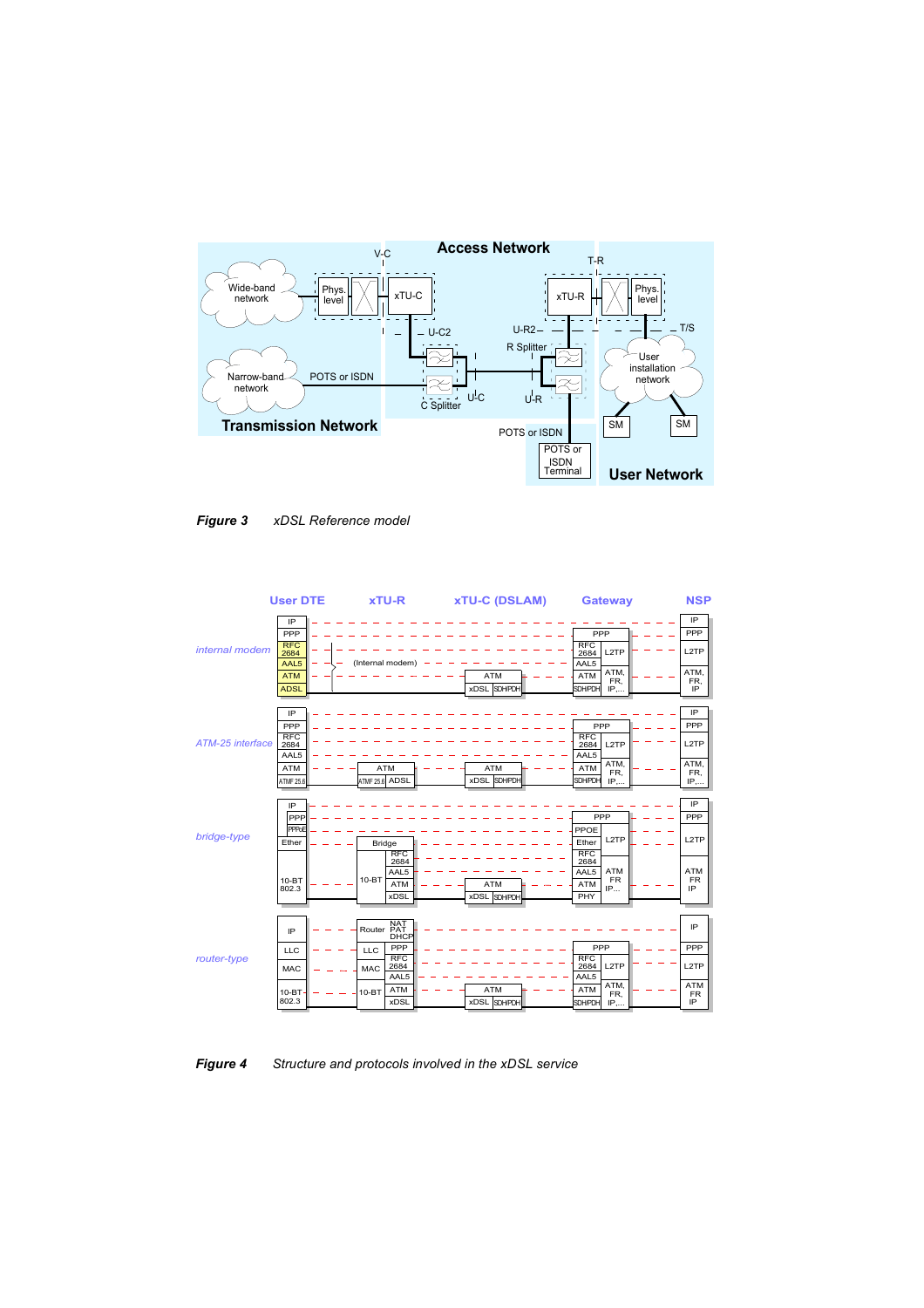



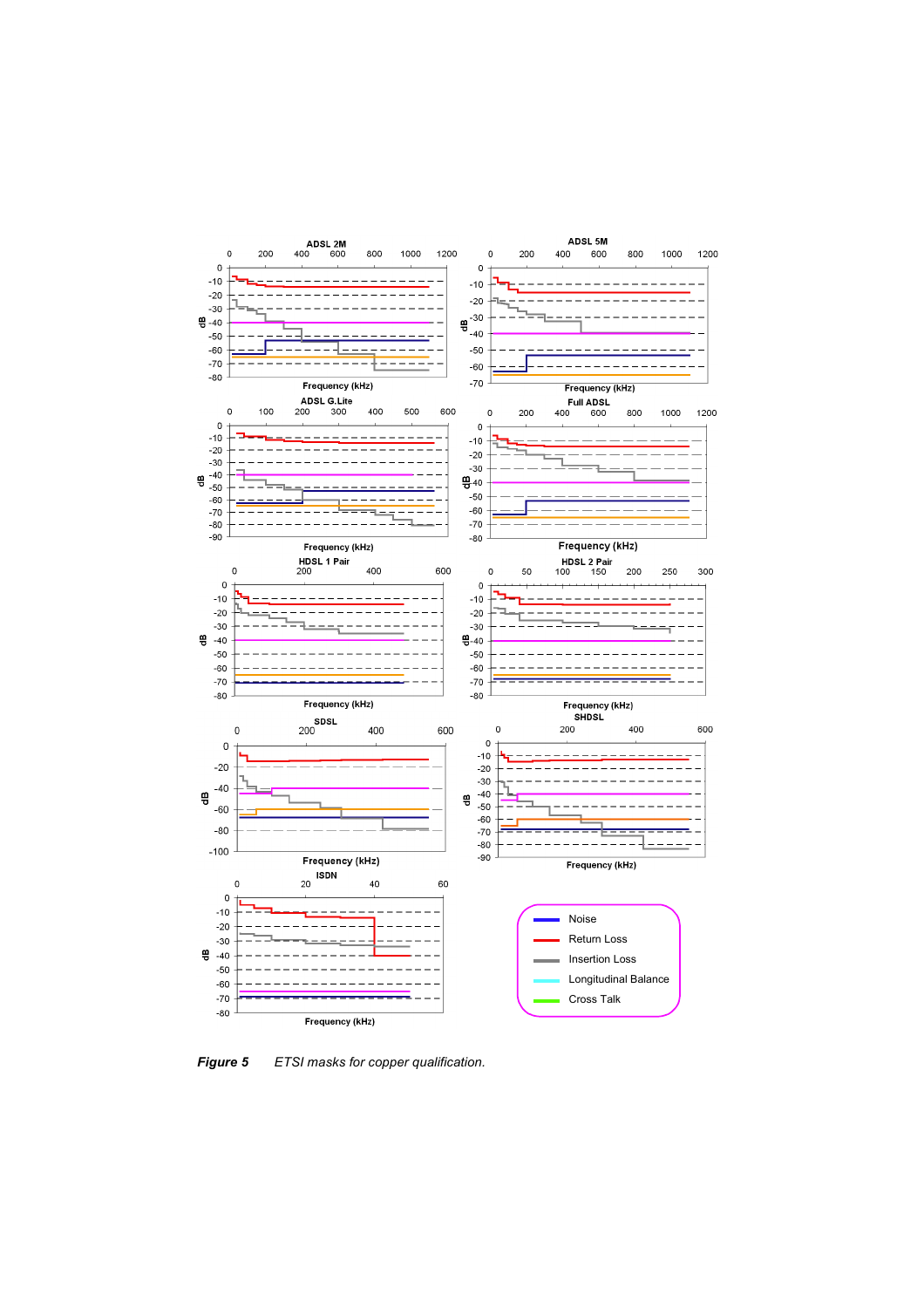

*Figure 5 ETSI masks for copper qualification.*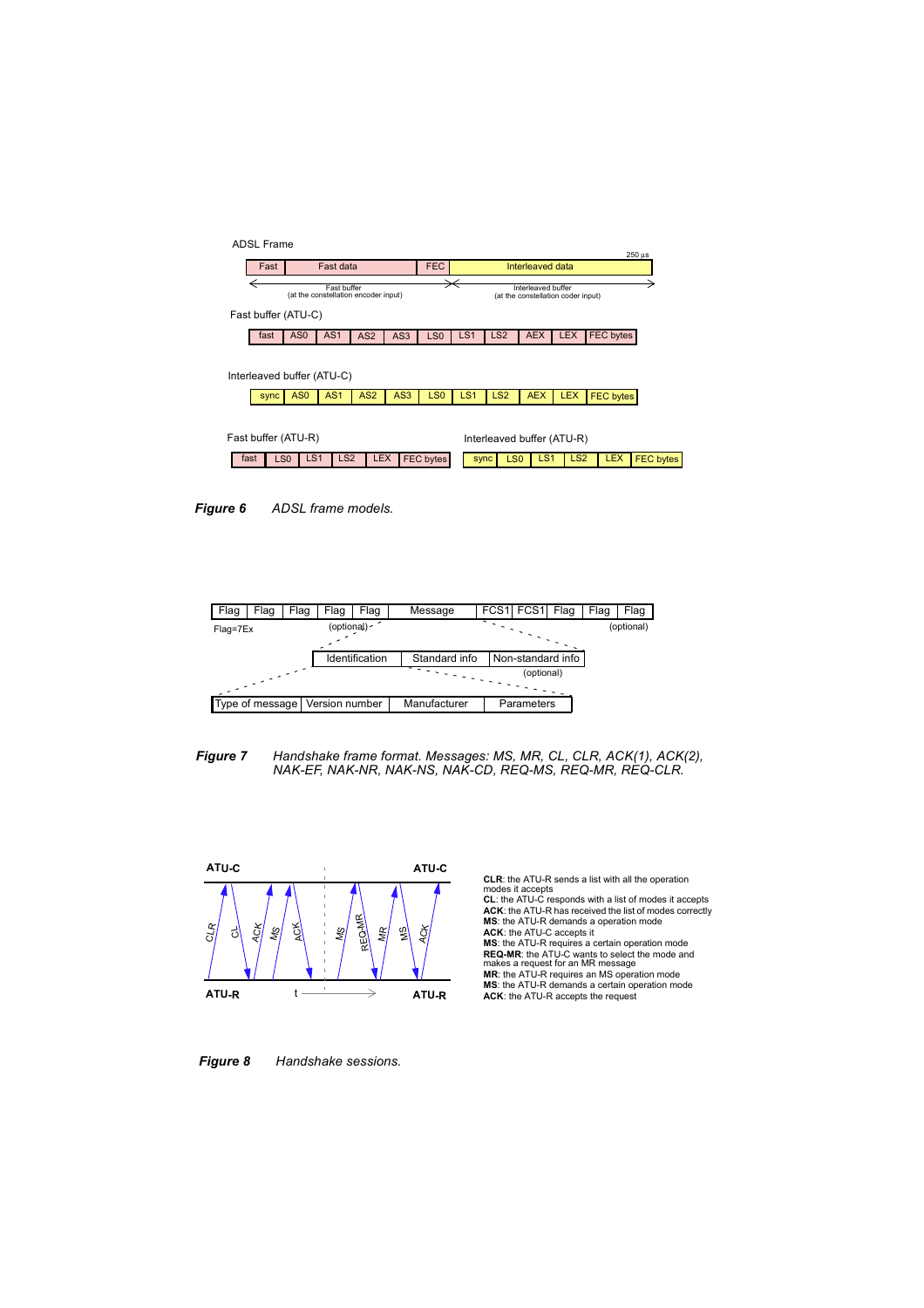









**CLR**: the ATU-R sends a list with all the operation modes it accepts

**CL**: the ATU-C responds with a list of modes it accepts **ACK**: the ATU-R has received the list of modes correctly **MS**: the ATU-R demands a operation mode **ACK**: the ATU-C accepts it **MS**: the ATU-R requires a certain operation mode **REQ-MR**: the ATU-C wants to select the mode and makes a request for an MR message **MR**: the ATU-R requires an MS operation mode **MS**: the ATU-R demands a certain operation mode **ACK**: the ATU-R accepts the request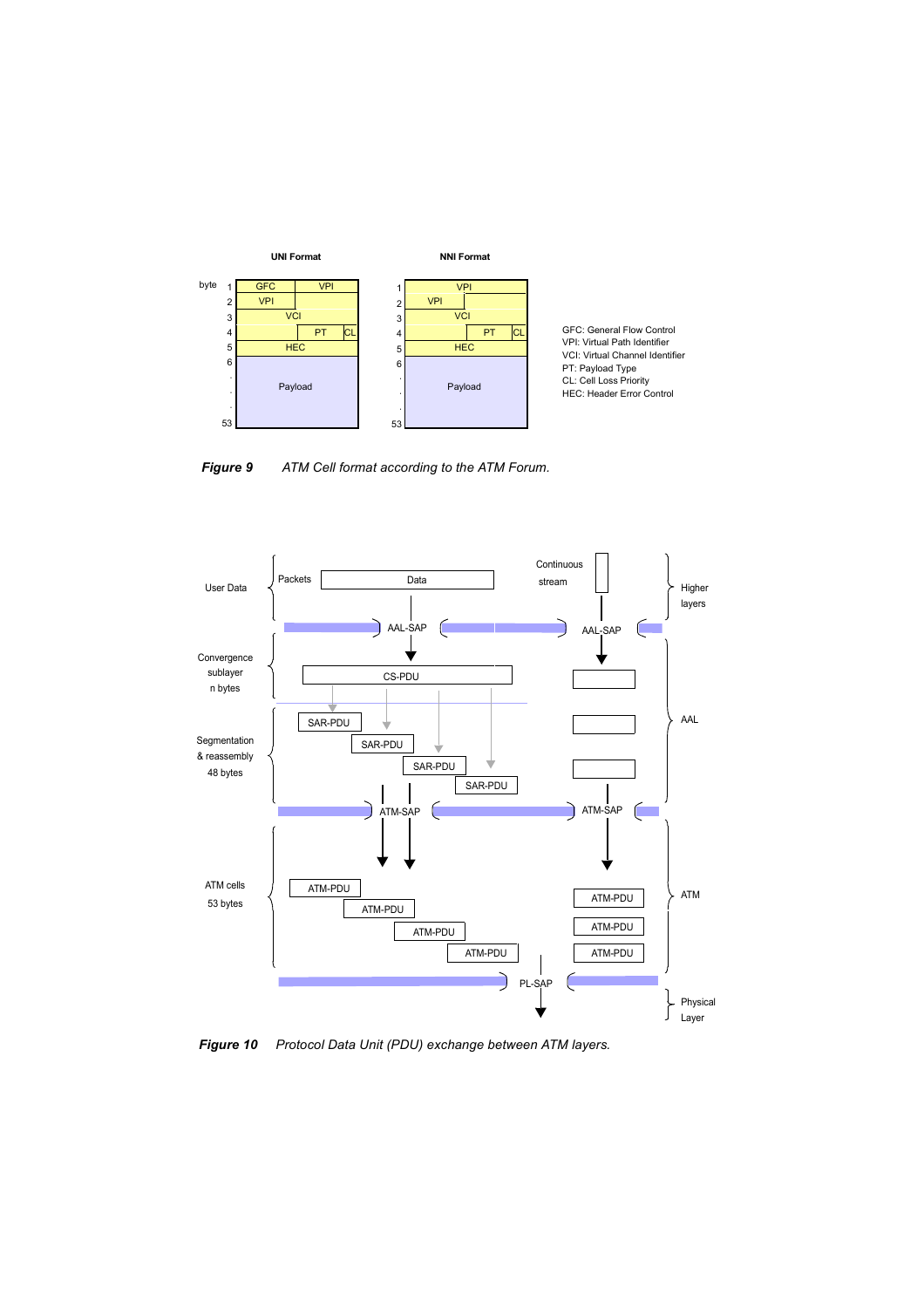

GFC: General Flow Control VPI: Virtual Path Identifier VCI: Virtual Channel Identifier PT: Payload Type CL: Cell Loss Priority HEC: Header Error Control





*Figure 10 Protocol Data Unit (PDU) exchange between ATM layers.*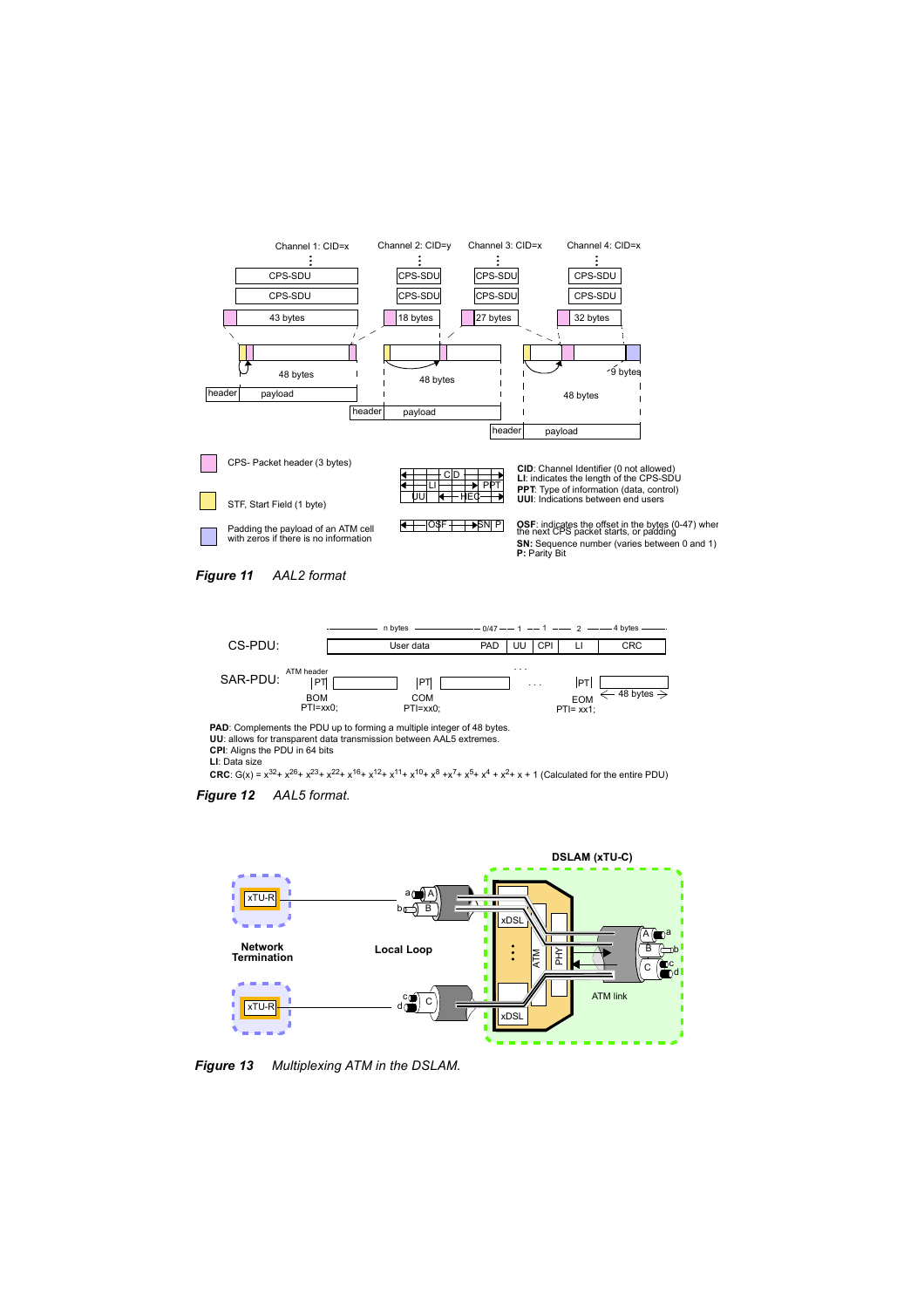





**PAD:** Complements the PDU up to forming a multiple integer of 48 bytes. **UU**: allows for transparent data transmission between AAL5 extremes. **CPI**: Aligns the PDU in 64 bits

**LI**: Data size

**CRC**:  $G(x) = x^{32} + x^{26} + x^{23} + x^{22} + x^{16} + x^{12} + x^{11} + x^{10} + x^8 + x^7 + x^5 + x^4 + x^2 + x + 1$  (Calculated for the entire PDU)





*Figure 13 Multiplexing ATM in the DSLAM.*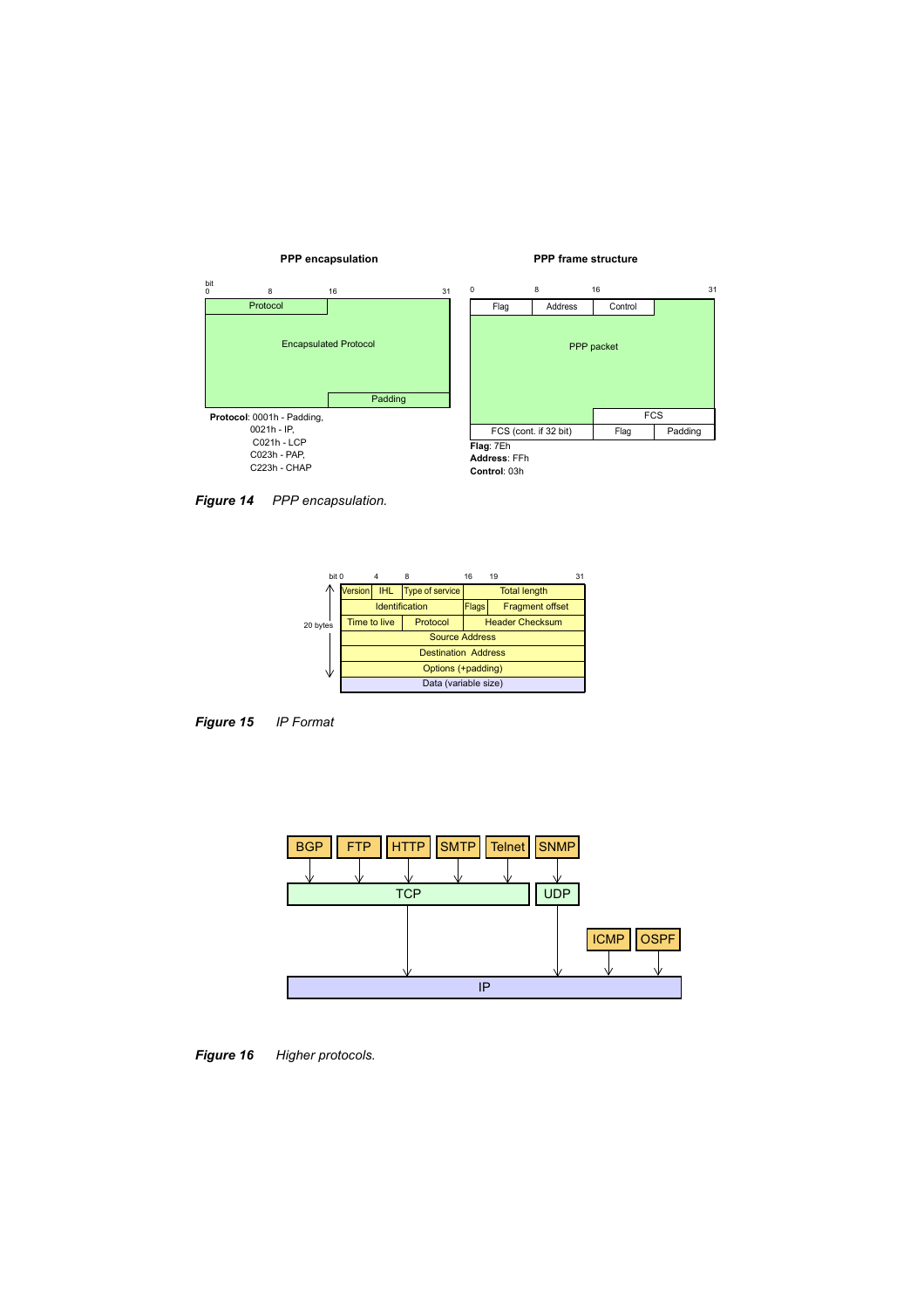## **PPP encapsulation PPP frame structure**





**Flag**: 7Eh **Address**: FFh **Control**: 03h

*Figure 14 PPP encapsulation.*





IP **TCP** BGP | FTP | HTTP | SMTP | Telnet | SNMP UDP **ICMP** OSPF